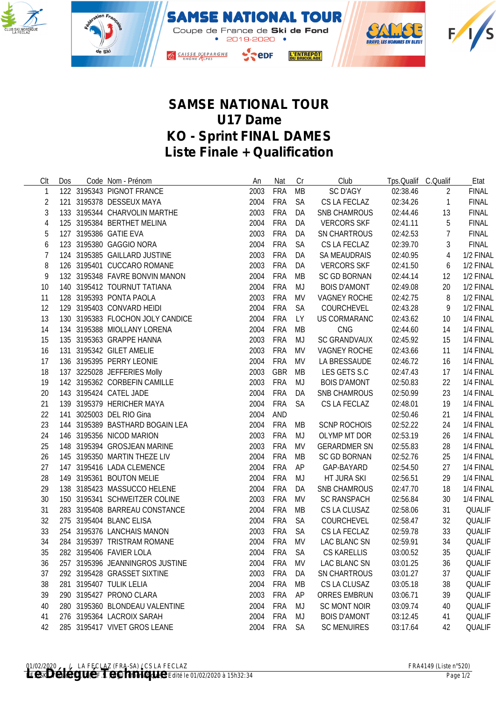



## **SAMSE NATIONAL TOUR U17 Dame KO - Sprint FINAL DAMES Liste Finale + Qualification**

| Clt            | Dos | Code Nom - Prénom                | An       | Nat        | Cr        | Club                | Tps.Qualif C.Qualif |                | Etat          |
|----------------|-----|----------------------------------|----------|------------|-----------|---------------------|---------------------|----------------|---------------|
| $\mathbf{1}$   |     | 122 3195343 PIGNOT FRANCE        | 2003     | <b>FRA</b> | MB        | <b>SC D'AGY</b>     | 02:38.46            | 2              | <b>FINAL</b>  |
| 2              |     | 121 3195378 DESSEUX MAYA         | 2004     | FRA        | <b>SA</b> | CS LA FECLAZ        | 02:34.26            | $\overline{1}$ | <b>FINAL</b>  |
| 3              |     | 133 3195344 CHARVOLIN MARTHE     | 2003     | FRA        | DA        | <b>SNB CHAMROUS</b> | 02:44.46            | 13             | <b>FINAL</b>  |
| $\overline{4}$ |     | 125 3195384 BERTHET MELINA       | 2004     | FRA        | DA        | <b>VERCORS SKF</b>  | 02:41.11            | 5              | <b>FINAL</b>  |
| 5              |     | 127 3195386 GATIE EVA            | 2003     | FRA        | DA        | SN CHARTROUS        | 02:42.53            | $\overline{7}$ | <b>FINAL</b>  |
| 6              |     | 123 3195380 GAGGIO NORA          | 2004     | FRA        | <b>SA</b> | CS LA FECLAZ        | 02:39.70            | 3              | <b>FINAL</b>  |
| 7              |     | 124 3195385 GAILLARD JUSTINE     | 2003     | FRA        | DA        | <b>SA MEAUDRAIS</b> | 02:40.95            | $\overline{4}$ | 1/2 FINAL     |
| 8              |     | 126 3195401 CUCCARO ROMANE       | 2003     | <b>FRA</b> | DA        | <b>VERCORS SKF</b>  | 02:41.50            | 6              | 1/2 FINAL     |
| 9              |     | 132 3195348 FAVRE BONVIN MANON   | 2004     | <b>FRA</b> | МB        | <b>SC GD BORNAN</b> | 02:44.14            | 12             | 1/2 FINAL     |
| 10             |     | 140 3195412 TOURNUT TATIANA      | 2004     | FRA        | MJ        | <b>BOIS D'AMONT</b> | 02:49.08            | 20             | 1/2 FINAL     |
| 11             |     | 128 3195393 PONTA PAOLA          | 2003     | FRA        | MV        | VAGNEY ROCHE        | 02:42.75            | 8              | 1/2 FINAL     |
| 12             |     | 129 3195403 CONVARD HEIDI        | 2004     | FRA        | SA        | COURCHEVEL          | 02:43.28            | 9              | 1/2 FINAL     |
| 13             |     | 130 3195383 FLOCHON JOLY CANDICE | 2004     | FRA        | <b>LY</b> | US CORMARANC        | 02:43.62            | 10             | 1/4 FINAL     |
| 14             |     | 134 3195388 MIOLLANY LORENA      | 2004     | FRA        | MB        | CNG                 | 02:44.60            | 14             | 1/4 FINAL     |
| 15             |     | 135 3195363 GRAPPE HANNA         | 2003     | FRA        | MJ        | <b>SC GRANDVAUX</b> | 02:45.92            | 15             | 1/4 FINAL     |
| 16             |     | 131 3195342 GILET AMELIE         | 2003     | <b>FRA</b> | MV        | VAGNEY ROCHE        | 02:43.66            | 11             | 1/4 FINAL     |
| 17             |     | 136 3195395 PERRY LEONIE         | 2004     | FRA        | MV        | LA BRESSAUDE        | 02:46.72            | 16             | 1/4 FINAL     |
| 18             |     | 137 3225028 JEFFERIES Molly      | 2003     | GBR        | MB        | LES GETS S.C        | 02:47.43            | 17             | 1/4 FINAL     |
| 19             |     | 142 3195362 CORBEFIN CAMILLE     | 2003     | FRA        | MJ        | <b>BOIS D'AMONT</b> | 02:50.83            | 22             | 1/4 FINAL     |
| 20             |     | 143 3195424 CATEL JADE           | 2004     | FRA        | DA        | <b>SNB CHAMROUS</b> | 02:50.99            | 23             | 1/4 FINAL     |
| 21             |     | 139 3195379 HERICHER MAYA        | 2004     | FRA        | <b>SA</b> | CS LA FECLAZ        | 02:48.01            | 19             | 1/4 FINAL     |
| 22             |     | 141 3025003 DEL RIO Gina         | 2004     | <b>AND</b> |           |                     | 02:50.46            | 21             | 1/4 FINAL     |
| 23             |     | 144 3195389 BASTHARD BOGAIN LEA  | 2004     | <b>FRA</b> | MB        | <b>SCNP ROCHOIS</b> | 02:52.22            | 24             | 1/4 FINAL     |
| 24             |     | 146 3195356 NICOD MARION         | 2003     | <b>FRA</b> | MJ        | OLYMP MT DOR        | 02:53.19            | 26             | 1/4 FINAL     |
| 25             |     | 148 3195394 GROSJEAN MARINE      | 2003     | <b>FRA</b> | <b>MV</b> | <b>GERARDMER SN</b> | 02:55.83            | 28             | 1/4 FINAL     |
| 26             |     | 145 3195350 MARTIN THEZE LIV     | 2004     | <b>FRA</b> | MB        | <b>SC GD BORNAN</b> | 02:52.76            | 25             | 1/4 FINAL     |
| 27             |     | 147 3195416 LADA CLEMENCE        | 2004     | FRA        | AP        | GAP-BAYARD          | 02:54.50            | 27             | 1/4 FINAL     |
| 28             |     | 149 3195361 BOUTON MELIE         | 2004     | FRA        | MJ        | HT JURA SKI         | 02:56.51            | 29             | 1/4 FINAL     |
| 29             |     | 138 3185423 MASSUCCO HELENE      | 2004     | FRA        | DA        | <b>SNB CHAMROUS</b> | 02:47.70            | 18             | 1/4 FINAL     |
| 30             |     | 150 3195341 SCHWEITZER COLINE    | 2003     | FRA        | MV        | <b>SC RANSPACH</b>  | 02:56.84            | 30             | 1/4 FINAL     |
| 31             |     | 283 3195408 BARREAU CONSTANCE    | 2004     | <b>FRA</b> | MB        | CS LA CLUSAZ        | 02:58.06            | 31             | QUALIF        |
| 32             |     | 275 3195404 BLANC ELISA          | 2004     | <b>FRA</b> | <b>SA</b> | COURCHEVEL          | 02:58.47            | 32             | QUALIF        |
| 33             |     | 254 3195376 LANCHAIS MANON       | 2003     | FRA        | SA        | CS LA FECLAZ        | 02:59.78            | 33             | QUALIF        |
| 34             |     | 284 3195397 TRISTRAM ROMANE      | 2004     | FRA        | <b>MV</b> | LAC BLANC SN        | 02:59.91            | 34             | QUALIF        |
| 35             |     | 282 3195406 FAVIER LOLA          | 2004 FRA |            | SA        | <b>CS KARELLIS</b>  | 03:00.52            | 35             | <b>QUALIF</b> |
| 36             |     | 257 3195396 JEANNINGROS JUSTINE  | 2004     | <b>FRA</b> | MV        | LAC BLANC SN        | 03:01.25            | 36             | QUALIF        |
| 37             |     | 292 3195428 GRASSET SIXTINE      | 2003     | <b>FRA</b> | DA        | <b>SN CHARTROUS</b> | 03:01.27            | 37             | QUALIF        |
| 38             |     | 281 3195407 TULIK LELIA          | 2004     | <b>FRA</b> | MB        | CS LA CLUSAZ        | 03:05.18            | 38             | <b>QUALIF</b> |
| 39             |     | 290 3195427 PRONO CLARA          | 2003     | <b>FRA</b> | AP        | <b>ORRES EMBRUN</b> | 03:06.71            | 39             | <b>QUALIF</b> |
| 40             |     | 280 3195360 BLONDEAU VALENTINE   | 2004     | <b>FRA</b> | MJ        | <b>SC MONT NOIR</b> | 03:09.74            | 40             | QUALIF        |
| 41             |     | 276 3195364 LACROIX SARAH        | 2004     | <b>FRA</b> | MJ        | <b>BOIS D'AMONT</b> | 03:12.45            | 41             | QUALIF        |
| 42             |     | 285 3195417 VIVET GROS LEANE     | 2004     | <b>FRA</b> | <b>SA</b> | <b>SC MENUIRES</b>  | 03:17.64            | 42             | QUALIF        |
|                |     |                                  |          |            |           |                     |                     |                |               |

<sup>01/02/2020 /</sup> LA FECLAZ (FRA-SA) / CS LA FECLAZ *FRA-SKI / CS LA FECLAZ (FRA-SKI Version 21.1f (FRA-SKI Version 201/02/2020 à 15h32:34 Page 1/2*<br>**Le Contract de la Fechnique de la Fechnique de la Fechnique de la Fechnique**